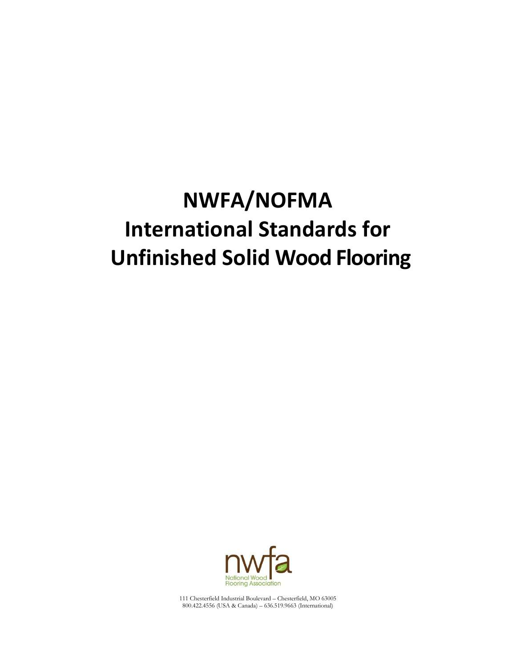# **NWFA/NOFMA International Standards for Unfinished Solid Wood Flooring**



111 Chesterfield Industrial Boulevard – Chesterfield, MO 63005 800.422.4556 (USA & Canada) – 636.519.9663 (International)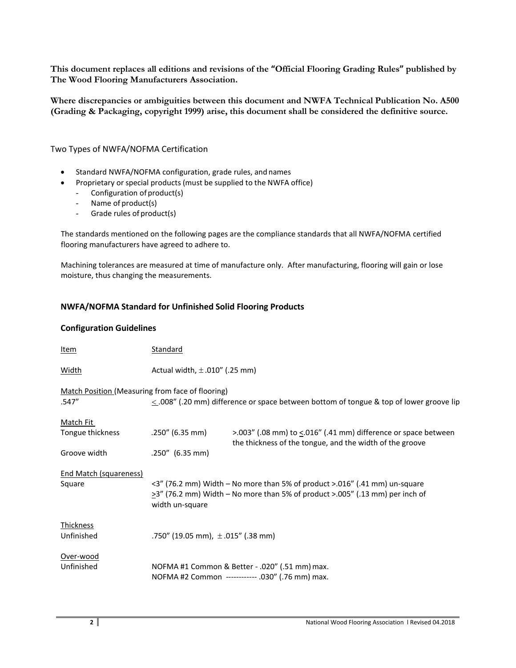**This document replaces all editions and revisions of the "Official Flooring Grading Rules" published by The Wood Flooring Manufacturers Association.**

**Where discrepancies or ambiguities between this document and NWFA Technical Publication No. A500 (Grading & Packaging, copyright 1999) arise, this document shall be considered the definitive source.** 

Two Types of NWFA/NOFMA Certification

- Standard NWFA/NOFMA configuration, grade rules, andnames
- Proprietary or special products (must be supplied to the NWFA office)
	- Configuration of product(s)
	- Name of product(s)
	- Grade rules of product(s)

The standards mentioned on the following pages are the compliance standards that all NWFA/NOFMA certified flooring manufacturers have agreed to adhere to.

Machining tolerances are measured at time of manufacture only. After manufacturing, flooring will gain or lose moisture, thus changing the measurements.

# **NWFA/NOFMA Standard for Unfinished Solid Flooring Products**

# **Configuration Guidelines**

| Item                                                      | <b>Standard</b>                                                                                                                                                                     |                                                                                                                              |  |
|-----------------------------------------------------------|-------------------------------------------------------------------------------------------------------------------------------------------------------------------------------------|------------------------------------------------------------------------------------------------------------------------------|--|
| <b>Width</b>                                              | Actual width, $\pm$ .010" (.25 mm)                                                                                                                                                  |                                                                                                                              |  |
| Match Position (Measuring from face of flooring)<br>.547" |                                                                                                                                                                                     | $\leq$ .008" (.20 mm) difference or space between bottom of tongue & top of lower groove lip                                 |  |
| Match Fit                                                 |                                                                                                                                                                                     |                                                                                                                              |  |
| Tongue thickness                                          | $.250''$ (6.35 mm)                                                                                                                                                                  | $>$ 003" (.08 mm) to <.016" (.41 mm) difference or space between<br>the thickness of the tongue, and the width of the groove |  |
| Groove width                                              | $.250''$ (6.35 mm)                                                                                                                                                                  |                                                                                                                              |  |
| <b>End Match (squareness)</b><br>Square                   | <3" (76.2 mm) Width - No more than 5% of product >.016" (.41 mm) un-square<br>$\geq$ 3" (76.2 mm) Width – No more than 5% of product >.005" (.13 mm) per inch of<br>width un-square |                                                                                                                              |  |
| <b>Thickness</b><br>Unfinished                            | .750" (19.05 mm), $\pm$ .015" (.38 mm)                                                                                                                                              |                                                                                                                              |  |
| Over-wood<br>Unfinished                                   |                                                                                                                                                                                     | NOFMA #1 Common & Better - .020" (.51 mm) max.<br>NOFMA #2 Common ----------- .030" (.76 mm) max.                            |  |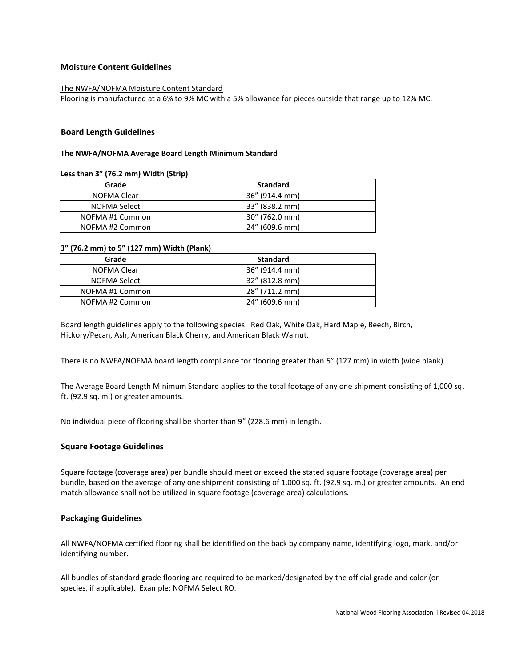# **Moisture Content Guidelines**

#### The NWFA/NOFMA Moisture Content Standard

Flooring is manufactured at a 6% to 9% MC with a 5% allowance for pieces outside that range up to 12% MC.

#### **Board Length Guidelines**

#### **The NWFA/NOFMA Average Board Length Minimum Standard**

#### **Less than 3" (76.2 mm) Width (Strip)**

| Grade           | <b>Standard</b>   |
|-----------------|-------------------|
| NOFMA Clear     | 36" (914.4 mm)    |
| NOFMA Select    | 33" (838.2 mm)    |
| NOFMA#1 Common  | $30''$ (762.0 mm) |
| NOFMA #2 Common | 24" (609.6 mm)    |

#### **3" (76.2 mm) to 5" (127 mm) Width (Plank)**

| Grade          | <b>Standard</b>   |
|----------------|-------------------|
| NOFMA Clear    | $36''$ (914.4 mm) |
| NOFMA Select   | 32" (812.8 mm)    |
| NOFMA#1 Common | 28" (711.2 mm)    |
| NOFMA#2 Common | 24" (609.6 mm)    |

Board length guidelines apply to the following species: Red Oak, White Oak, Hard Maple, Beech, Birch, Hickory/Pecan, Ash, American Black Cherry, and American Black Walnut.

There is no NWFA/NOFMA board length compliance for flooring greater than 5" (127 mm) in width (wide plank).

The Average Board Length Minimum Standard applies to the total footage of any one shipment consisting of 1,000 sq. ft. (92.9 sq. m.) or greater amounts.

No individual piece of flooring shall be shorter than 9" (228.6 mm) in length.

#### **Square Footage Guidelines**

Square footage (coverage area) per bundle should meet or exceed the stated square footage (coverage area) per bundle, based on the average of any one shipment consisting of 1,000 sq. ft. (92.9 sq. m.) or greater amounts. An end match allowance shall not be utilized in square footage (coverage area) calculations.

#### **Packaging Guidelines**

All NWFA/NOFMA certified flooring shall be identified on the back by company name, identifying logo, mark, and/or identifying number.

All bundles of standard grade flooring are required to be marked/designated by the official grade and color (or species, if applicable). Example: NOFMA Select RO.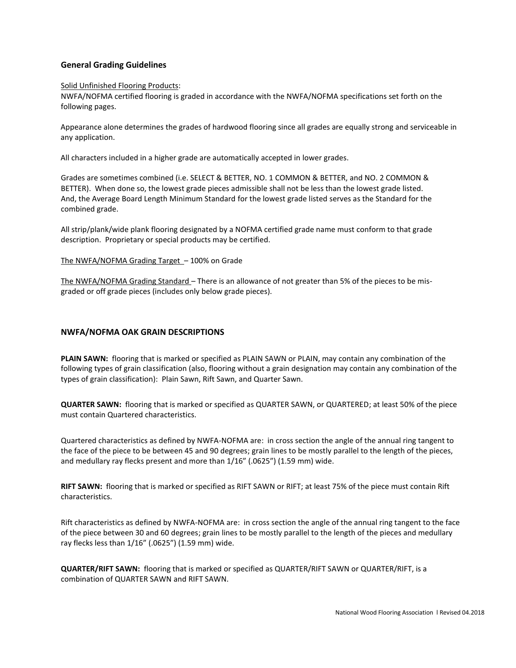# **General Grading Guidelines**

### Solid Unfinished Flooring Products:

NWFA/NOFMA certified flooring is graded in accordance with the NWFA/NOFMA specifications set forth on the following pages.

Appearance alone determines the grades of hardwood flooring since all grades are equally strong and serviceable in any application.

All characters included in a higher grade are automatically accepted in lower grades.

Grades are sometimes combined (i.e. SELECT & BETTER, NO. 1 COMMON & BETTER, and NO. 2 COMMON & BETTER). When done so, the lowest grade pieces admissible shall not be less than the lowest grade listed. And, the Average Board Length Minimum Standard for the lowest grade listed serves as the Standard for the combined grade.

All strip/plank/wide plank flooring designated by a NOFMA certified grade name must conform to that grade description. Proprietary or special products may be certified.

## The NWFA/NOFMA Grading Target – 100% on Grade

The NWFA/NOFMA Grading Standard – There is an allowance of not greater than 5% of the pieces to be misgraded or off grade pieces (includes only below grade pieces).

# **NWFA/NOFMA OAK GRAIN DESCRIPTIONS**

**PLAIN SAWN:** flooring that is marked or specified as PLAIN SAWN or PLAIN, may contain any combination of the following types of grain classification (also, flooring without a grain designation may contain any combination of the types of grain classification): Plain Sawn, Rift Sawn, and Quarter Sawn.

**QUARTER SAWN:** flooring that is marked or specified as QUARTER SAWN, or QUARTERED; at least 50% of the piece must contain Quartered characteristics.

Quartered characteristics as defined by NWFA-NOFMA are: in cross section the angle of the annual ring tangent to the face of the piece to be between 45 and 90 degrees; grain lines to be mostly parallel to the length of the pieces, and medullary ray flecks present and more than 1/16" (.0625") (1.59 mm) wide.

**RIFT SAWN:** flooring that is marked or specified as RIFT SAWN or RIFT; at least 75% of the piece must contain Rift characteristics.

Rift characteristics as defined by NWFA-NOFMA are: in cross section the angle of the annual ring tangent to the face of the piece between 30 and 60 degrees; grain lines to be mostly parallel to the length of the pieces and medullary ray flecks less than 1/16" (.0625") (1.59 mm) wide.

**QUARTER/RIFT SAWN:** flooring that is marked or specified as QUARTER/RIFT SAWN or QUARTER/RIFT, is a combination of QUARTER SAWN and RIFT SAWN.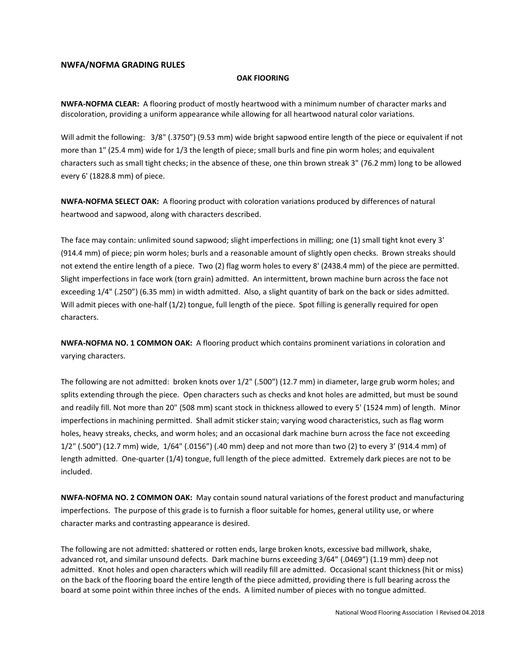## **NWFA/NOFMA GRADING RULES**

#### **OAK FlOORING**

**NWFA-NOFMA CLEAR:** A flooring product of mostly heartwood with a minimum number of character marks and discoloration, providing a uniform appearance while allowing for all heartwood natural color variations.

Will admit the following: 3/8" (.3750") (9.53 mm) wide bright sapwood entire length of the piece or equivalent if not more than 1" (25.4 mm) wide for 1/3 the length of piece; small burls and fine pin worm holes; and equivalent characters such as small tight checks; in the absence of these, one thin brown streak 3" (76.2 mm) long to be allowed every 6' (1828.8 mm) of piece.

**NWFA-NOFMA SELECT OAK:** A flooring product with coloration variations produced by differences of natural heartwood and sapwood, along with characters described.

The face may contain: unlimited sound sapwood; slight imperfections in milling; one (1) small tight knot every 3' (914.4 mm) of piece; pin worm holes; burls and a reasonable amount of slightly open checks. Brown streaks should not extend the entire length of a piece. Two (2) flag worm holes to every 8' (2438.4 mm) of the piece are permitted. Slight imperfections in face work (torn grain) admitted. An intermittent, brown machine burn across the face not exceeding 1/4" (.250") (6.35 mm) in width admitted. Also, a slight quantity of bark on the back or sides admitted. Will admit pieces with one-half (1/2) tongue, full length of the piece. Spot filling is generally required for open characters.

**NWFA-NOFMA NO. 1 COMMON OAK:** A flooring product which contains prominent variations in coloration and varying characters.

The following are not admitted: broken knots over 1/2" (.500") (12.7 mm) in diameter, large grub worm holes; and splits extending through the piece. Open characters such as checks and knot holes are admitted, but must be sound and readily fill. Not more than 20" (508 mm) scant stock in thickness allowed to every 5' (1524 mm) of length. Minor imperfections in machining permitted. Shall admit sticker stain; varying wood characteristics, such as flag worm holes, heavy streaks, checks, and worm holes; and an occasional dark machine burn across the face not exceeding 1/2" (.500") (12.7 mm) wide, 1/64" (.0156") (.40 mm) deep and not more than two (2) to every 3' (914.4 mm) of length admitted. One-quarter (1/4) tongue, full length of the piece admitted. Extremely dark pieces are not to be included.

**NWFA-NOFMA NO. 2 COMMON OAK:** May contain sound natural variations of the forest product and manufacturing imperfections. The purpose of this grade is to furnish a floor suitable for homes, general utility use, or where character marks and contrasting appearance is desired.

The following are not admitted: shattered or rotten ends, large broken knots, excessive bad millwork, shake, advanced rot, and similar unsound defects. Dark machine burns exceeding 3/64" (.0469") (1.19 mm) deep not admitted. Knot holes and open characters which will readily fill are admitted. Occasional scant thickness (hit or miss) on the back of the flooring board the entire length of the piece admitted, providing there is full bearing across the board at some point within three inches of the ends. A limited number of pieces with no tongue admitted.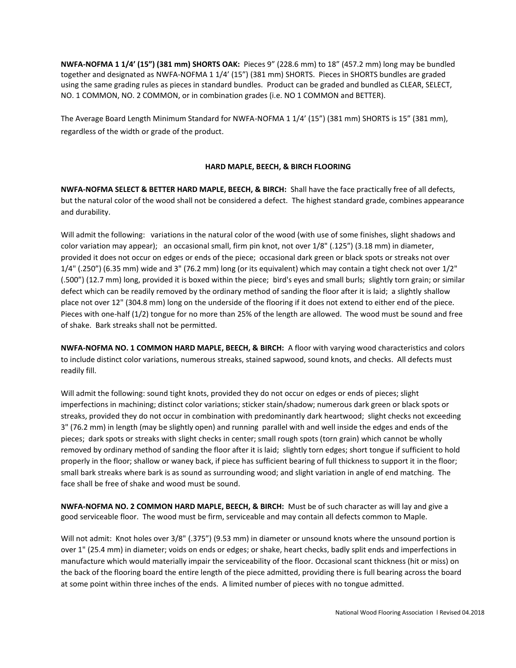**NWFA-NOFMA 1 1/4' (15") (381 mm) SHORTS OAK:** Pieces 9" (228.6 mm) to 18" (457.2 mm) long may be bundled together and designated as NWFA-NOFMA 1 1/4' (15") (381 mm) SHORTS. Pieces in SHORTS bundles are graded using the same grading rules as pieces in standard bundles. Product can be graded and bundled as CLEAR, SELECT, NO. 1 COMMON, NO. 2 COMMON, or in combination grades (i.e. NO 1 COMMON and BETTER).

The Average Board Length Minimum Standard for NWFA-NOFMA 1 1/4' (15") (381 mm) SHORTS is 15" (381 mm), regardless of the width or grade of the product.

# **HARD MAPLE, BEECH, & BIRCH FLOORING**

**NWFA-NOFMA SELECT & BETTER HARD MAPLE, BEECH, & BIRCH:** Shall have the face practically free of all defects, but the natural color of the wood shall not be considered a defect. The highest standard grade, combines appearance and durability.

Will admit the following: variations in the natural color of the wood (with use of some finishes, slight shadows and color variation may appear); an occasional small, firm pin knot, not over 1/8" (.125") (3.18 mm) in diameter, provided it does not occur on edges or ends of the piece; occasional dark green or black spots or streaks not over 1/4" (.250") (6.35 mm) wide and 3" (76.2 mm) long (or its equivalent) which may contain a tight check not over 1/2" (.500") (12.7 mm) long, provided it is boxed within the piece; bird's eyes and small burls; slightly torn grain; or similar defect which can be readily removed by the ordinary method of sanding the floor after it is laid; a slightly shallow place not over 12" (304.8 mm) long on the underside of the flooring if it does not extend to either end of the piece. Pieces with one-half (1/2) tongue for no more than 25% of the length are allowed. The wood must be sound and free of shake. Bark streaks shall not be permitted.

**NWFA-NOFMA NO. 1 COMMON HARD MAPLE, BEECH, & BIRCH:** A floor with varying wood characteristics and colors to include distinct color variations, numerous streaks, stained sapwood, sound knots, and checks. All defects must readily fill.

Will admit the following: sound tight knots, provided they do not occur on edges or ends of pieces; slight imperfections in machining; distinct color variations; sticker stain/shadow; numerous dark green or black spots or streaks, provided they do not occur in combination with predominantly dark heartwood; slight checks not exceeding 3" (76.2 mm) in length (may be slightly open) and running parallel with and well inside the edges and ends of the pieces; dark spots or streaks with slight checks in center; small rough spots (torn grain) which cannot be wholly removed by ordinary method of sanding the floor after it is laid; slightly torn edges; short tongue if sufficient to hold properly in the floor; shallow or waney back, if piece has sufficient bearing of full thickness to support it in the floor; small bark streaks where bark is as sound as surrounding wood; and slight variation in angle of end matching. The face shall be free of shake and wood must be sound.

**NWFA-NOFMA NO. 2 COMMON HARD MAPLE, BEECH, & BIRCH:** Must be of such character as will lay and give a good serviceable floor. The wood must be firm, serviceable and may contain all defects common to Maple.

Will not admit: Knot holes over 3/8" (.375") (9.53 mm) in diameter or unsound knots where the unsound portion is over 1" (25.4 mm) in diameter; voids on ends or edges; or shake, heart checks, badly split ends and imperfections in manufacture which would materially impair the serviceability of the floor. Occasional scant thickness (hit or miss) on the back of the flooring board the entire length of the piece admitted, providing there is full bearing across the board at some point within three inches of the ends. A limited number of pieces with no tongue admitted.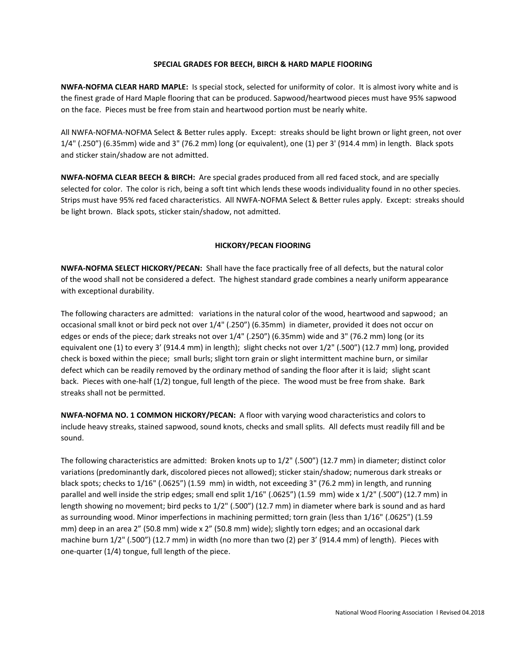### **SPECIAL GRADES FOR BEECH, BIRCH & HARD MAPLE FlOORING**

**NWFA-NOFMA CLEAR HARD MAPLE:** Is special stock, selected for uniformity of color. It is almost ivory white and is the finest grade of Hard Maple flooring that can be produced. Sapwood/heartwood pieces must have 95% sapwood on the face. Pieces must be free from stain and heartwood portion must be nearly white.

All NWFA-NOFMA-NOFMA Select & Better rules apply. Except: streaks should be light brown or light green, not over 1/4" (.250") (6.35mm) wide and 3" (76.2 mm) long (or equivalent), one (1) per 3' (914.4 mm) in length. Black spots and sticker stain/shadow are not admitted.

**NWFA-NOFMA CLEAR BEECH & BIRCH:** Are special grades produced from all red faced stock, and are specially selected for color. The color is rich, being a soft tint which lends these woods individuality found in no other species. Strips must have 95% red faced characteristics. All NWFA-NOFMA Select & Better rules apply. Except: streaks should be light brown. Black spots, sticker stain/shadow, not admitted.

## **HICKORY/PECAN FlOORING**

**NWFA-NOFMA SELECT HICKORY/PECAN:** Shall have the face practically free of all defects, but the natural color of the wood shall not be considered a defect. The highest standard grade combines a nearly uniform appearance with exceptional durability.

The following characters are admitted: variations in the natural color of the wood, heartwood and sapwood; an occasional small knot or bird peck not over 1/4" (.250") (6.35mm) in diameter, provided it does not occur on edges or ends of the piece; dark streaks not over 1/4" (.250") (6.35mm) wide and 3" (76.2 mm) long (or its equivalent one (1) to every 3' (914.4 mm) in length); slight checks not over 1/2" (.500") (12.7 mm) long, provided check is boxed within the piece; small burls; slight torn grain or slight intermittent machine burn, or similar defect which can be readily removed by the ordinary method of sanding the floor after it is laid; slight scant back. Pieces with one-half (1/2) tongue, full length of the piece. The wood must be free from shake. Bark streaks shall not be permitted.

**NWFA-NOFMA NO. 1 COMMON HICKORY/PECAN:** A floor with varying wood characteristics and colors to include heavy streaks, stained sapwood, sound knots, checks and small splits. All defects must readily fill and be sound.

The following characteristics are admitted: Broken knots up to 1/2" (.500") (12.7 mm) in diameter; distinct color variations (predominantly dark, discolored pieces not allowed); sticker stain/shadow; numerous dark streaks or black spots; checks to 1/16" (.0625") (1.59 mm) in width, not exceeding 3" (76.2 mm) in length, and running parallel and well inside the strip edges; small end split 1/16" (.0625") (1.59 mm) wide x 1/2" (.500") (12.7 mm) in length showing no movement; bird pecks to 1/2" (.500") (12.7 mm) in diameter where bark is sound and as hard as surrounding wood. Minor imperfections in machining permitted; torn grain (less than 1/16" (.0625") (1.59 mm) deep in an area 2" (50.8 mm) wide x 2" (50.8 mm) wide); slightly torn edges; and an occasional dark machine burn 1/2" (.500") (12.7 mm) in width (no more than two (2) per 3' (914.4 mm) of length). Pieces with one-quarter (1/4) tongue, full length of the piece.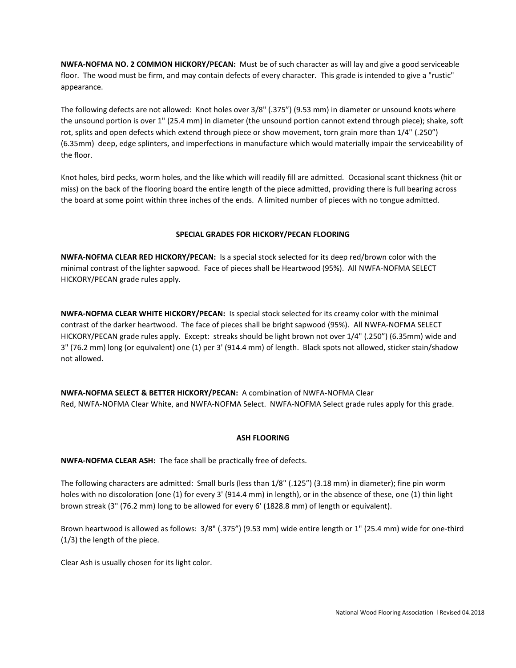**NWFA-NOFMA NO. 2 COMMON HICKORY/PECAN:** Must be of such character as will lay and give a good serviceable floor. The wood must be firm, and may contain defects of every character. This grade is intended to give a "rustic" appearance.

The following defects are not allowed: Knot holes over 3/8" (.375") (9.53 mm) in diameter or unsound knots where the unsound portion is over 1" (25.4 mm) in diameter (the unsound portion cannot extend through piece); shake, soft rot, splits and open defects which extend through piece or show movement, torn grain more than 1/4" (.250") (6.35mm) deep, edge splinters, and imperfections in manufacture which would materially impair the serviceability of the floor.

Knot holes, bird pecks, worm holes, and the like which will readily fill are admitted. Occasional scant thickness (hit or miss) on the back of the flooring board the entire length of the piece admitted, providing there is full bearing across the board at some point within three inches of the ends. A limited number of pieces with no tongue admitted.

# **SPECIAL GRADES FOR HICKORY/PECAN FLOORING**

**NWFA-NOFMA CLEAR RED HICKORY/PECAN:** Is a special stock selected for its deep red/brown color with the minimal contrast of the lighter sapwood. Face of pieces shall be Heartwood (95%). All NWFA-NOFMA SELECT HICKORY/PECAN grade rules apply.

**NWFA-NOFMA CLEAR WHITE HICKORY/PECAN:** Is special stock selected for its creamy color with the minimal contrast of the darker heartwood. The face of pieces shall be bright sapwood (95%). All NWFA-NOFMA SELECT HICKORY/PECAN grade rules apply. Except: streaks should be light brown not over 1/4" (.250") (6.35mm) wide and 3" (76.2 mm) long (or equivalent) one (1) per 3' (914.4 mm) of length. Black spots not allowed, sticker stain/shadow not allowed.

**NWFA-NOFMA SELECT & BETTER HICKORY/PECAN:** A combination of NWFA-NOFMA Clear Red, NWFA-NOFMA Clear White, and NWFA-NOFMA Select. NWFA-NOFMA Select grade rules apply for this grade.

# **ASH FLOORING**

**NWFA-NOFMA CLEAR ASH:** The face shall be practically free of defects.

The following characters are admitted: Small burls (less than 1/8" (.125") (3.18 mm) in diameter); fine pin worm holes with no discoloration (one (1) for every 3' (914.4 mm) in length), or in the absence of these, one (1) thin light brown streak (3" (76.2 mm) long to be allowed for every 6' (1828.8 mm) of length or equivalent).

Brown heartwood is allowed as follows: 3/8" (.375") (9.53 mm) wide entire length or 1" (25.4 mm) wide for one-third (1/3) the length of the piece.

Clear Ash is usually chosen for its light color.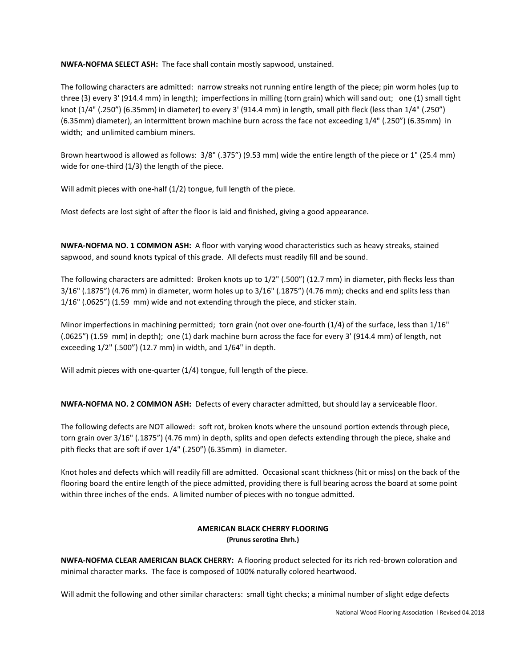**NWFA-NOFMA SELECT ASH:** The face shall contain mostly sapwood, unstained.

The following characters are admitted: narrow streaks not running entire length of the piece; pin worm holes (up to three (3) every 3' (914.4 mm) in length); imperfections in milling (torn grain) which will sand out; one (1) small tight knot (1/4" (.250") (6.35mm) in diameter) to every 3' (914.4 mm) in length, small pith fleck (less than 1/4" (.250") (6.35mm) diameter), an intermittent brown machine burn across the face not exceeding 1/4" (.250") (6.35mm) in width; and unlimited cambium miners.

Brown heartwood is allowed as follows: 3/8" (.375") (9.53 mm) wide the entire length of the piece or 1" (25.4 mm) wide for one-third (1/3) the length of the piece.

Will admit pieces with one-half (1/2) tongue, full length of the piece.

Most defects are lost sight of after the floor is laid and finished, giving a good appearance.

**NWFA-NOFMA NO. 1 COMMON ASH:** A floor with varying wood characteristics such as heavy streaks, stained sapwood, and sound knots typical of this grade. All defects must readily fill and be sound.

The following characters are admitted: Broken knots up to 1/2" (.500") (12.7 mm) in diameter, pith flecks less than 3/16" (.1875") (4.76 mm) in diameter, worm holes up to 3/16" (.1875") (4.76 mm); checks and end splits less than 1/16" (.0625") (1.59 mm) wide and not extending through the piece, and sticker stain.

Minor imperfections in machining permitted; torn grain (not over one-fourth (1/4) of the surface, less than 1/16" (.0625") (1.59 mm) in depth); one (1) dark machine burn across the face for every 3' (914.4 mm) of length, not exceeding 1/2" (.500") (12.7 mm) in width, and 1/64" in depth.

Will admit pieces with one-quarter (1/4) tongue, full length of the piece.

**NWFA-NOFMA NO. 2 COMMON ASH:** Defects of every character admitted, but should lay a serviceable floor.

The following defects are NOT allowed: soft rot, broken knots where the unsound portion extends through piece, torn grain over 3/16" (.1875") (4.76 mm) in depth, splits and open defects extending through the piece, shake and pith flecks that are soft if over 1/4" (.250") (6.35mm) in diameter.

Knot holes and defects which will readily fill are admitted. Occasional scant thickness (hit or miss) on the back of the flooring board the entire length of the piece admitted, providing there is full bearing across the board at some point within three inches of the ends. A limited number of pieces with no tongue admitted.

# **AMERICAN BLACK CHERRY FLOORING (Prunus serotina Ehrh.)**

**NWFA-NOFMA CLEAR AMERICAN BLACK CHERRY:** A flooring product selected for its rich red-brown coloration and minimal character marks. The face is composed of 100% naturally colored heartwood.

Will admit the following and other similar characters: small tight checks; a minimal number of slight edge defects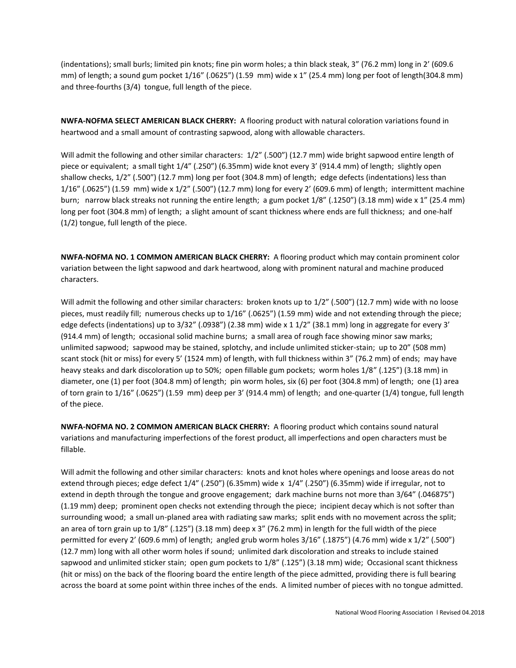(indentations); small burls; limited pin knots; fine pin worm holes; a thin black steak, 3" (76.2 mm) long in 2' (609.6 mm) of length; a sound gum pocket 1/16" (.0625") (1.59 mm) wide x 1" (25.4 mm) long per foot of length(304.8 mm) and three-fourths (3/4) tongue, full length of the piece.

**NWFA-NOFMA SELECT AMERICAN BLACK CHERRY:** A flooring product with natural coloration variations found in heartwood and a small amount of contrasting sapwood, along with allowable characters.

Will admit the following and other similar characters: 1/2" (.500") (12.7 mm) wide bright sapwood entire length of piece or equivalent; a small tight 1/4" (.250") (6.35mm) wide knot every 3' (914.4 mm) of length; slightly open shallow checks, 1/2" (.500") (12.7 mm) long per foot (304.8 mm) of length; edge defects (indentations) less than 1/16" (.0625") (1.59 mm) wide x 1/2" (.500") (12.7 mm) long for every 2' (609.6 mm) of length; intermittent machine burn; narrow black streaks not running the entire length; a gum pocket 1/8" (.1250") (3.18 mm) wide x 1" (25.4 mm) long per foot (304.8 mm) of length; a slight amount of scant thickness where ends are full thickness; and one-half (1/2) tongue, full length of the piece.

**NWFA-NOFMA NO. 1 COMMON AMERICAN BLACK CHERRY:** A flooring product which may contain prominent color variation between the light sapwood and dark heartwood, along with prominent natural and machine produced characters.

Will admit the following and other similar characters: broken knots up to  $1/2$ " (.500") (12.7 mm) wide with no loose pieces, must readily fill; numerous checks up to 1/16" (.0625") (1.59 mm) wide and not extending through the piece; edge defects (indentations) up to 3/32" (.0938") (2.38 mm) wide x 1 1/2" (38.1 mm) long in aggregate for every 3' (914.4 mm) of length; occasional solid machine burns; a small area of rough face showing minor saw marks; unlimited sapwood; sapwood may be stained, splotchy, and include unlimited sticker-stain; up to 20" (508 mm) scant stock (hit or miss) for every 5' (1524 mm) of length, with full thickness within 3" (76.2 mm) of ends; may have heavy steaks and dark discoloration up to 50%; open fillable gum pockets; worm holes 1/8" (.125") (3.18 mm) in diameter, one (1) per foot (304.8 mm) of length; pin worm holes, six (6) per foot (304.8 mm) of length; one (1) area of torn grain to 1/16" (.0625") (1.59 mm) deep per 3' (914.4 mm) of length; and one-quarter (1/4) tongue, full length of the piece.

**NWFA-NOFMA NO. 2 COMMON AMERICAN BLACK CHERRY:** A flooring product which contains sound natural variations and manufacturing imperfections of the forest product, all imperfections and open characters must be fillable.

Will admit the following and other similar characters: knots and knot holes where openings and loose areas do not extend through pieces; edge defect 1/4" (.250") (6.35mm) wide x 1/4" (.250") (6.35mm) wide if irregular, not to extend in depth through the tongue and groove engagement; dark machine burns not more than 3/64" (.046875") (1.19 mm) deep; prominent open checks not extending through the piece; incipient decay which is not softer than surrounding wood; a small un-planed area with radiating saw marks; split ends with no movement across the split; an area of torn grain up to 1/8" (.125") (3.18 mm) deep x 3" (76.2 mm) in length for the full width of the piece permitted for every 2' (609.6 mm) of length; angled grub worm holes 3/16" (.1875") (4.76 mm) wide x 1/2" (.500") (12.7 mm) long with all other worm holes if sound; unlimited dark discoloration and streaks to include stained sapwood and unlimited sticker stain; open gum pockets to 1/8" (.125") (3.18 mm) wide; Occasional scant thickness (hit or miss) on the back of the flooring board the entire length of the piece admitted, providing there is full bearing across the board at some point within three inches of the ends. A limited number of pieces with no tongue admitted.